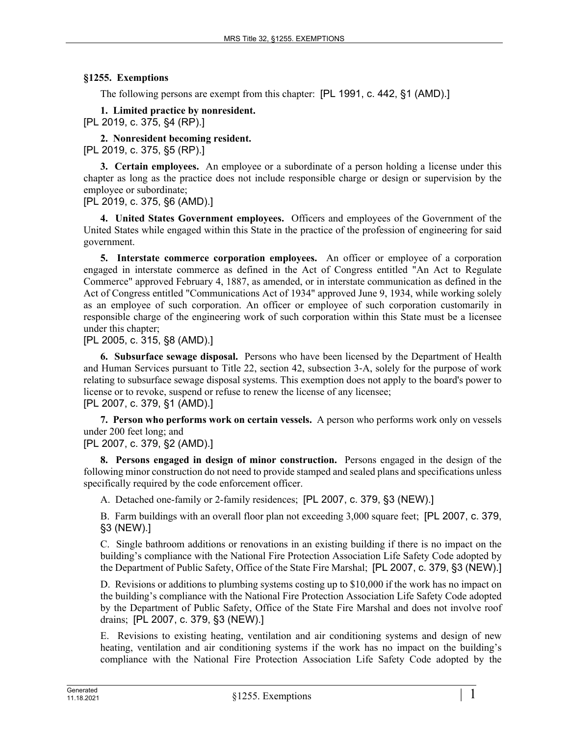## **§1255. Exemptions**

The following persons are exempt from this chapter: [PL 1991, c. 442, §1 (AMD).]

**1. Limited practice by nonresident.**  [PL 2019, c. 375, §4 (RP).]

**2. Nonresident becoming resident.**  [PL 2019, c. 375, §5 (RP).]

**3. Certain employees.** An employee or a subordinate of a person holding a license under this chapter as long as the practice does not include responsible charge or design or supervision by the employee or subordinate;

[PL 2019, c. 375, §6 (AMD).]

**4. United States Government employees.** Officers and employees of the Government of the United States while engaged within this State in the practice of the profession of engineering for said government.

**5. Interstate commerce corporation employees.** An officer or employee of a corporation engaged in interstate commerce as defined in the Act of Congress entitled "An Act to Regulate Commerce" approved February 4, 1887, as amended, or in interstate communication as defined in the Act of Congress entitled "Communications Act of 1934" approved June 9, 1934, while working solely as an employee of such corporation. An officer or employee of such corporation customarily in responsible charge of the engineering work of such corporation within this State must be a licensee under this chapter;

[PL 2005, c. 315, §8 (AMD).]

**6. Subsurface sewage disposal.** Persons who have been licensed by the Department of Health and Human Services pursuant to Title 22, section 42, subsection 3‑A, solely for the purpose of work relating to subsurface sewage disposal systems. This exemption does not apply to the board's power to license or to revoke, suspend or refuse to renew the license of any licensee; [PL 2007, c. 379, §1 (AMD).]

**7. Person who performs work on certain vessels.** A person who performs work only on vessels under 200 feet long; and

[PL 2007, c. 379, §2 (AMD).]

**8. Persons engaged in design of minor construction.** Persons engaged in the design of the following minor construction do not need to provide stamped and sealed plans and specifications unless specifically required by the code enforcement officer.

A. Detached one-family or 2-family residences; [PL 2007, c. 379, §3 (NEW).]

B. Farm buildings with an overall floor plan not exceeding 3,000 square feet; [PL 2007, c. 379, §3 (NEW).]

C. Single bathroom additions or renovations in an existing building if there is no impact on the building's compliance with the National Fire Protection Association Life Safety Code adopted by the Department of Public Safety, Office of the State Fire Marshal; [PL 2007, c. 379, §3 (NEW).]

D. Revisions or additions to plumbing systems costing up to \$10,000 if the work has no impact on the building's compliance with the National Fire Protection Association Life Safety Code adopted by the Department of Public Safety, Office of the State Fire Marshal and does not involve roof drains; [PL 2007, c. 379, §3 (NEW).]

E. Revisions to existing heating, ventilation and air conditioning systems and design of new heating, ventilation and air conditioning systems if the work has no impact on the building's compliance with the National Fire Protection Association Life Safety Code adopted by the